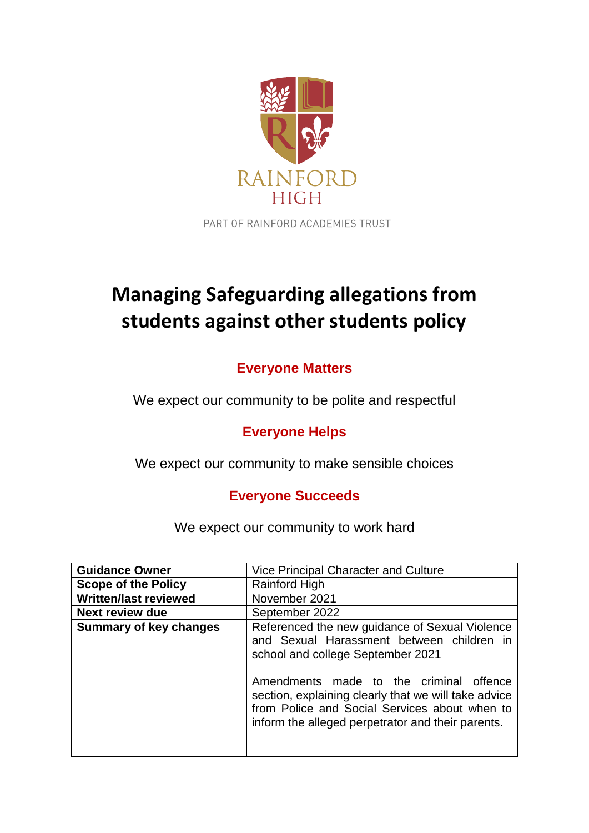

PART OF RAINFORD ACADEMIES TRUST

# **Managing Safeguarding allegations from students against other students policy**

# **Everyone Matters**

We expect our community to be polite and respectful

# **Everyone Helps**

We expect our community to make sensible choices

# **Everyone Succeeds**

We expect our community to work hard

| <b>Guidance Owner</b>         | Vice Principal Character and Culture                                                                                                                                                                                                                                                                                                      |
|-------------------------------|-------------------------------------------------------------------------------------------------------------------------------------------------------------------------------------------------------------------------------------------------------------------------------------------------------------------------------------------|
| <b>Scope of the Policy</b>    | Rainford High                                                                                                                                                                                                                                                                                                                             |
| <b>Written/last reviewed</b>  | November 2021                                                                                                                                                                                                                                                                                                                             |
| <b>Next review due</b>        | September 2022                                                                                                                                                                                                                                                                                                                            |
| <b>Summary of key changes</b> | Referenced the new guidance of Sexual Violence<br>and Sexual Harassment between children in<br>school and college September 2021<br>Amendments made to the criminal offence<br>section, explaining clearly that we will take advice<br>from Police and Social Services about when to<br>inform the alleged perpetrator and their parents. |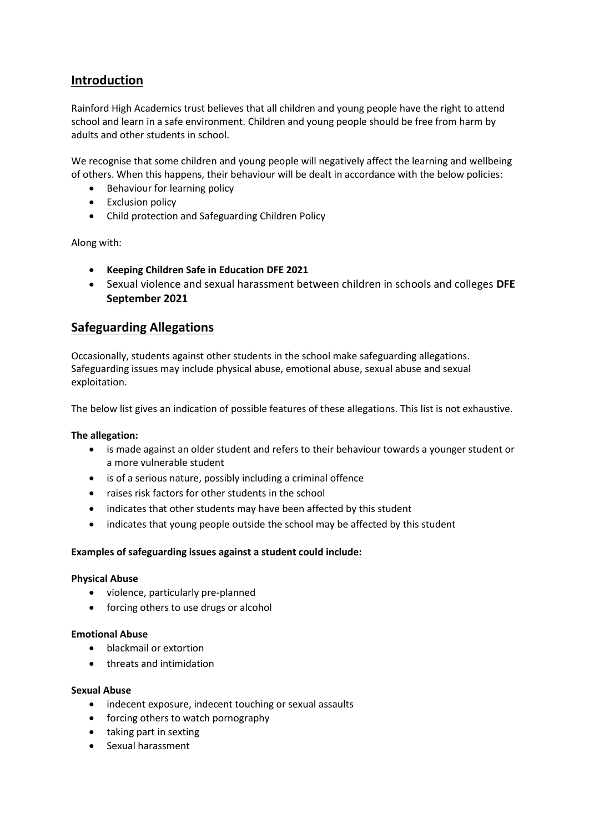# **Introduction**

Rainford High Academics trust believes that all children and young people have the right to attend school and learn in a safe environment. Children and young people should be free from harm by adults and other students in school.

We recognise that some children and young people will negatively affect the learning and wellbeing of others. When this happens, their behaviour will be dealt in accordance with the below policies:

- Behaviour for learning policy
- Exclusion policy
- Child protection and Safeguarding Children Policy

Along with:

- **Keeping Children Safe in Education DFE 2021**
- Sexual violence and sexual harassment between children in schools and colleges **DFE September 2021**

### **Safeguarding Allegations**

Occasionally, students against other students in the school make safeguarding allegations. Safeguarding issues may include physical abuse, emotional abuse, sexual abuse and sexual exploitation.

The below list gives an indication of possible features of these allegations. This list is not exhaustive.

#### **The allegation:**

- is made against an older student and refers to their behaviour towards a younger student or a more vulnerable student
- is of a serious nature, possibly including a criminal offence
- raises risk factors for other students in the school
- indicates that other students may have been affected by this student
- indicates that young people outside the school may be affected by this student

#### **Examples of safeguarding issues against a student could include:**

#### **Physical Abuse**

- violence, particularly pre-planned
- forcing others to use drugs or alcohol

#### **Emotional Abuse**

- blackmail or extortion
- threats and intimidation

#### **Sexual Abuse**

- indecent exposure, indecent touching or sexual assaults
- forcing others to watch pornography
- taking part in sexting
- Sexual harassment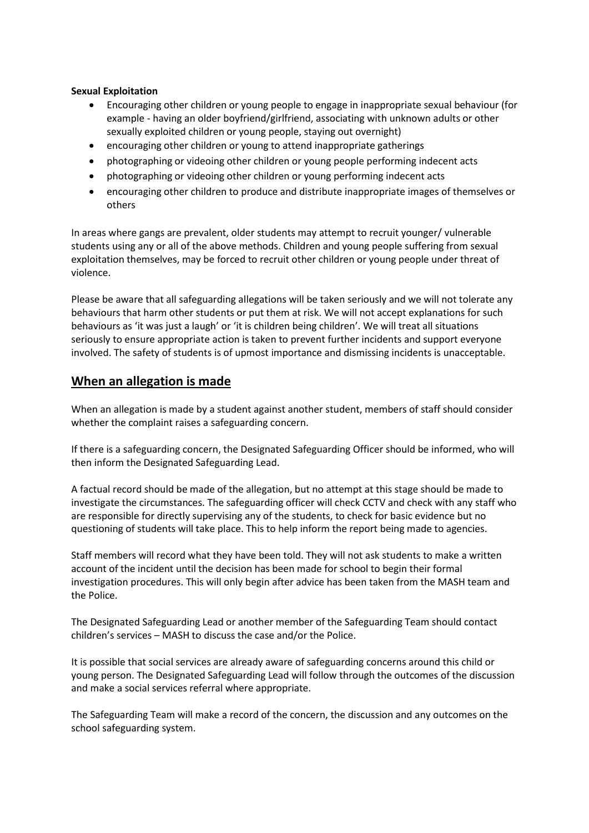#### **Sexual Exploitation**

- Encouraging other children or young people to engage in inappropriate sexual behaviour (for example - having an older boyfriend/girlfriend, associating with unknown adults or other sexually exploited children or young people, staying out overnight)
- encouraging other children or young to attend inappropriate gatherings
- photographing or videoing other children or young people performing indecent acts
- photographing or videoing other children or young performing indecent acts
- encouraging other children to produce and distribute inappropriate images of themselves or others

In areas where gangs are prevalent, older students may attempt to recruit younger/ vulnerable students using any or all of the above methods. Children and young people suffering from sexual exploitation themselves, may be forced to recruit other children or young people under threat of violence.

Please be aware that all safeguarding allegations will be taken seriously and we will not tolerate any behaviours that harm other students or put them at risk. We will not accept explanations for such behaviours as 'it was just a laugh' or 'it is children being children'. We will treat all situations seriously to ensure appropriate action is taken to prevent further incidents and support everyone involved. The safety of students is of upmost importance and dismissing incidents is unacceptable.

### **When an allegation is made**

When an allegation is made by a student against another student, members of staff should consider whether the complaint raises a safeguarding concern.

If there is a safeguarding concern, the Designated Safeguarding Officer should be informed, who will then inform the Designated Safeguarding Lead.

A factual record should be made of the allegation, but no attempt at this stage should be made to investigate the circumstances. The safeguarding officer will check CCTV and check with any staff who are responsible for directly supervising any of the students, to check for basic evidence but no questioning of students will take place. This to help inform the report being made to agencies.

Staff members will record what they have been told. They will not ask students to make a written account of the incident until the decision has been made for school to begin their formal investigation procedures. This will only begin after advice has been taken from the MASH team and the Police.

The Designated Safeguarding Lead or another member of the Safeguarding Team should contact children's services – MASH to discuss the case and/or the Police.

It is possible that social services are already aware of safeguarding concerns around this child or young person. The Designated Safeguarding Lead will follow through the outcomes of the discussion and make a social services referral where appropriate.

The Safeguarding Team will make a record of the concern, the discussion and any outcomes on the school safeguarding system.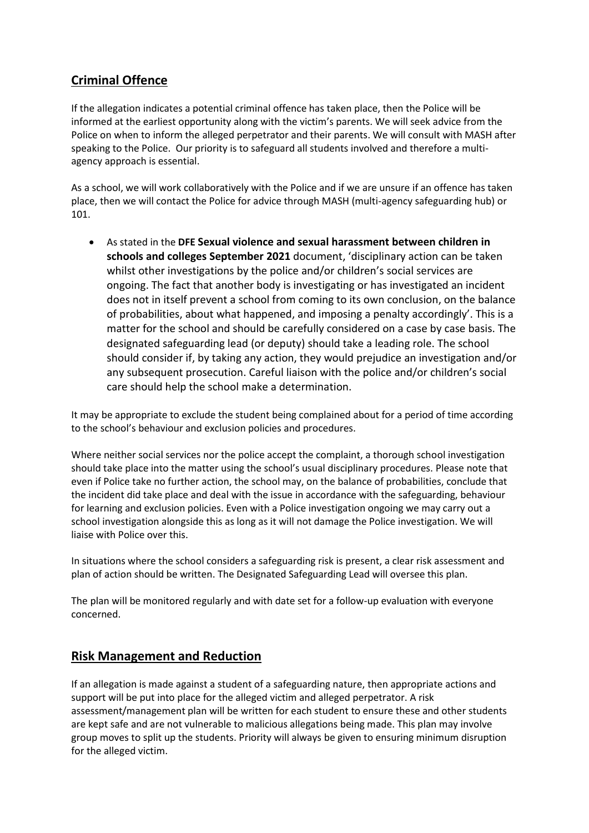# **Criminal Offence**

If the allegation indicates a potential criminal offence has taken place, then the Police will be informed at the earliest opportunity along with the victim's parents. We will seek advice from the Police on when to inform the alleged perpetrator and their parents. We will consult with MASH after speaking to the Police. Our priority is to safeguard all students involved and therefore a multiagency approach is essential.

As a school, we will work collaboratively with the Police and if we are unsure if an offence has taken place, then we will contact the Police for advice through MASH (multi-agency safeguarding hub) or 101.

• As stated in the **DFE Sexual violence and sexual harassment between children in schools and colleges September 2021** document, 'disciplinary action can be taken whilst other investigations by the police and/or children's social services are ongoing. The fact that another body is investigating or has investigated an incident does not in itself prevent a school from coming to its own conclusion, on the balance of probabilities, about what happened, and imposing a penalty accordingly'. This is a matter for the school and should be carefully considered on a case by case basis. The designated safeguarding lead (or deputy) should take a leading role. The school should consider if, by taking any action, they would prejudice an investigation and/or any subsequent prosecution. Careful liaison with the police and/or children's social care should help the school make a determination.

It may be appropriate to exclude the student being complained about for a period of time according to the school's behaviour and exclusion policies and procedures.

Where neither social services nor the police accept the complaint, a thorough school investigation should take place into the matter using the school's usual disciplinary procedures. Please note that even if Police take no further action, the school may, on the balance of probabilities, conclude that the incident did take place and deal with the issue in accordance with the safeguarding, behaviour for learning and exclusion policies. Even with a Police investigation ongoing we may carry out a school investigation alongside this as long as it will not damage the Police investigation. We will liaise with Police over this.

In situations where the school considers a safeguarding risk is present, a clear risk assessment and plan of action should be written. The Designated Safeguarding Lead will oversee this plan.

The plan will be monitored regularly and with date set for a follow-up evaluation with everyone concerned.

## **Risk Management and Reduction**

If an allegation is made against a student of a safeguarding nature, then appropriate actions and support will be put into place for the alleged victim and alleged perpetrator. A risk assessment/management plan will be written for each student to ensure these and other students are kept safe and are not vulnerable to malicious allegations being made. This plan may involve group moves to split up the students. Priority will always be given to ensuring minimum disruption for the alleged victim.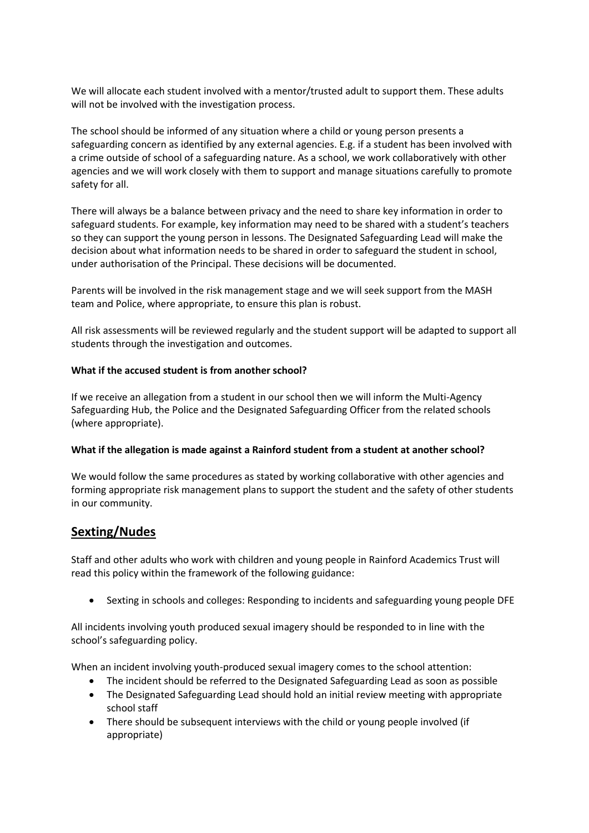We will allocate each student involved with a mentor/trusted adult to support them. These adults will not be involved with the investigation process.

The school should be informed of any situation where a child or young person presents a safeguarding concern as identified by any external agencies. E.g. if a student has been involved with a crime outside of school of a safeguarding nature. As a school, we work collaboratively with other agencies and we will work closely with them to support and manage situations carefully to promote safety for all.

There will always be a balance between privacy and the need to share key information in order to safeguard students. For example, key information may need to be shared with a student's teachers so they can support the young person in lessons. The Designated Safeguarding Lead will make the decision about what information needs to be shared in order to safeguard the student in school, under authorisation of the Principal. These decisions will be documented.

Parents will be involved in the risk management stage and we will seek support from the MASH team and Police, where appropriate, to ensure this plan is robust.

All risk assessments will be reviewed regularly and the student support will be adapted to support all students through the investigation and outcomes.

#### **What if the accused student is from another school?**

If we receive an allegation from a student in our school then we will inform the Multi-Agency Safeguarding Hub, the Police and the Designated Safeguarding Officer from the related schools (where appropriate).

#### **What if the allegation is made against a Rainford student from a student at another school?**

We would follow the same procedures as stated by working collaborative with other agencies and forming appropriate risk management plans to support the student and the safety of other students in our community.

## **Sexting/Nudes**

Staff and other adults who work with children and young people in Rainford Academics Trust will read this policy within the framework of the following guidance:

• Sexting in schools and colleges: Responding to incidents and safeguarding young people DFE

All incidents involving youth produced sexual imagery should be responded to in line with the school's safeguarding policy.

When an incident involving youth-produced sexual imagery comes to the school attention:

- The incident should be referred to the Designated Safeguarding Lead as soon as possible
- The Designated Safeguarding Lead should hold an initial review meeting with appropriate school staff
- There should be subsequent interviews with the child or young people involved (if appropriate)